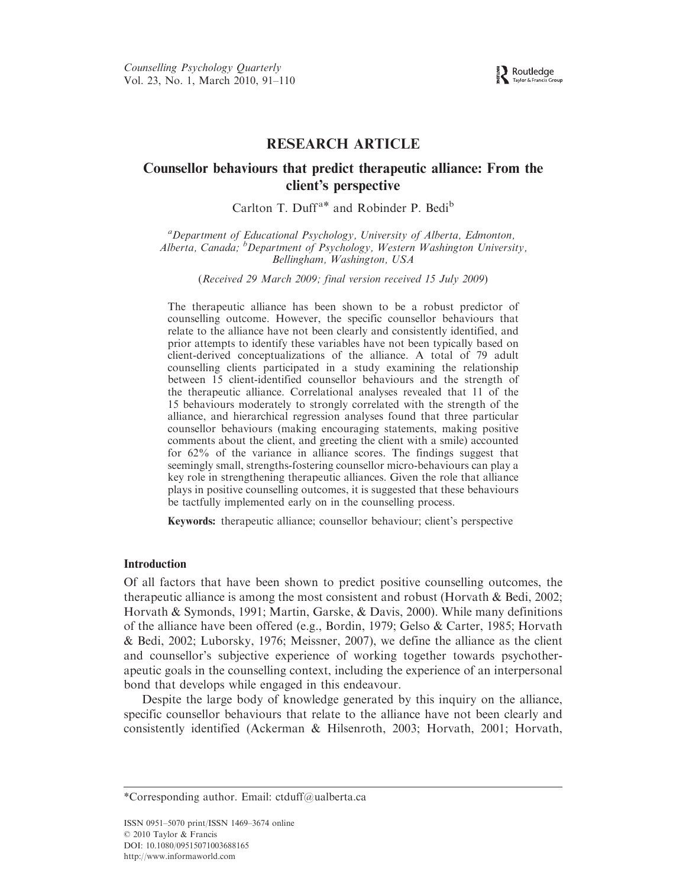Routledge Taylor & Francis C

# RESEARCH ARTICLE

# Counsellor behaviours that predict therapeutic alliance: From the client's perspective

Carlton T. Duff<sup>a\*</sup> and Robinder P. Bedi<sup>b</sup>

<sup>a</sup>Department of Educational Psychology, University of Alberta, Edmonton, Alberta, Canada; <sup>b</sup>Department of Psychology, Western Washington University, Bellingham, Washington, USA

(Received 29 March 2009; final version received 15 July 2009)

The therapeutic alliance has been shown to be a robust predictor of counselling outcome. However, the specific counsellor behaviours that relate to the alliance have not been clearly and consistently identified, and prior attempts to identify these variables have not been typically based on client-derived conceptualizations of the alliance. A total of 79 adult counselling clients participated in a study examining the relationship between 15 client-identified counsellor behaviours and the strength of the therapeutic alliance. Correlational analyses revealed that 11 of the 15 behaviours moderately to strongly correlated with the strength of the alliance, and hierarchical regression analyses found that three particular counsellor behaviours (making encouraging statements, making positive comments about the client, and greeting the client with a smile) accounted for 62% of the variance in alliance scores. The findings suggest that seemingly small, strengths-fostering counsellor micro-behaviours can play a key role in strengthening therapeutic alliances. Given the role that alliance plays in positive counselling outcomes, it is suggested that these behaviours be tactfully implemented early on in the counselling process.

Keywords: therapeutic alliance; counsellor behaviour; client's perspective

# Introduction

Of all factors that have been shown to predict positive counselling outcomes, the therapeutic alliance is among the most consistent and robust (Horvath & Bedi, 2002; Horvath & Symonds, 1991; Martin, Garske, & Davis, 2000). While many definitions of the alliance have been offered (e.g., Bordin, 1979; Gelso & Carter, 1985; Horvath & Bedi, 2002; Luborsky, 1976; Meissner, 2007), we define the alliance as the client and counsellor's subjective experience of working together towards psychotherapeutic goals in the counselling context, including the experience of an interpersonal bond that develops while engaged in this endeavour.

Despite the large body of knowledge generated by this inquiry on the alliance, specific counsellor behaviours that relate to the alliance have not been clearly and consistently identified (Ackerman & Hilsenroth, 2003; Horvath, 2001; Horvath,

<sup>\*</sup>Corresponding author. Email: ctduff@ualberta.ca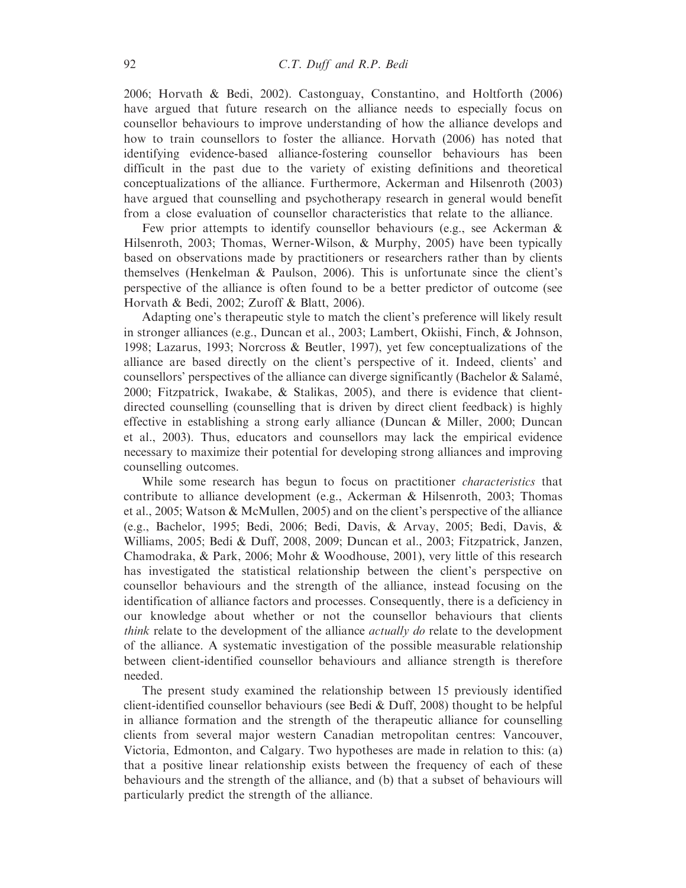2006; Horvath & Bedi, 2002). Castonguay, Constantino, and Holtforth (2006) have argued that future research on the alliance needs to especially focus on counsellor behaviours to improve understanding of how the alliance develops and how to train counsellors to foster the alliance. Horvath (2006) has noted that identifying evidence-based alliance-fostering counsellor behaviours has been difficult in the past due to the variety of existing definitions and theoretical conceptualizations of the alliance. Furthermore, Ackerman and Hilsenroth (2003) have argued that counselling and psychotherapy research in general would benefit from a close evaluation of counsellor characteristics that relate to the alliance.

Few prior attempts to identify counsellor behaviours (e.g., see Ackerman & Hilsenroth, 2003; Thomas, Werner-Wilson, & Murphy, 2005) have been typically based on observations made by practitioners or researchers rather than by clients themselves (Henkelman & Paulson, 2006). This is unfortunate since the client's perspective of the alliance is often found to be a better predictor of outcome (see Horvath & Bedi, 2002; Zuroff & Blatt, 2006).

Adapting one's therapeutic style to match the client's preference will likely result in stronger alliances (e.g., Duncan et al., 2003; Lambert, Okiishi, Finch, & Johnson, 1998; Lazarus, 1993; Norcross & Beutler, 1997), yet few conceptualizations of the alliance are based directly on the client's perspective of it. Indeed, clients' and counsellors' perspectives of the alliance can diverge significantly (Bachelor  $\&$  Salamé, 2000; Fitzpatrick, Iwakabe, & Stalikas, 2005), and there is evidence that clientdirected counselling (counselling that is driven by direct client feedback) is highly effective in establishing a strong early alliance (Duncan & Miller, 2000; Duncan et al., 2003). Thus, educators and counsellors may lack the empirical evidence necessary to maximize their potential for developing strong alliances and improving counselling outcomes.

While some research has begun to focus on practitioner *characteristics* that contribute to alliance development (e.g., Ackerman & Hilsenroth, 2003; Thomas et al., 2005; Watson & McMullen, 2005) and on the client's perspective of the alliance (e.g., Bachelor, 1995; Bedi, 2006; Bedi, Davis, & Arvay, 2005; Bedi, Davis, & Williams, 2005; Bedi & Duff, 2008, 2009; Duncan et al., 2003; Fitzpatrick, Janzen, Chamodraka, & Park, 2006; Mohr & Woodhouse, 2001), very little of this research has investigated the statistical relationship between the client's perspective on counsellor behaviours and the strength of the alliance, instead focusing on the identification of alliance factors and processes. Consequently, there is a deficiency in our knowledge about whether or not the counsellor behaviours that clients think relate to the development of the alliance *actually do* relate to the development of the alliance. A systematic investigation of the possible measurable relationship between client-identified counsellor behaviours and alliance strength is therefore needed.

The present study examined the relationship between 15 previously identified client-identified counsellor behaviours (see Bedi  $&$  Duff, 2008) thought to be helpful in alliance formation and the strength of the therapeutic alliance for counselling clients from several major western Canadian metropolitan centres: Vancouver, Victoria, Edmonton, and Calgary. Two hypotheses are made in relation to this: (a) that a positive linear relationship exists between the frequency of each of these behaviours and the strength of the alliance, and (b) that a subset of behaviours will particularly predict the strength of the alliance.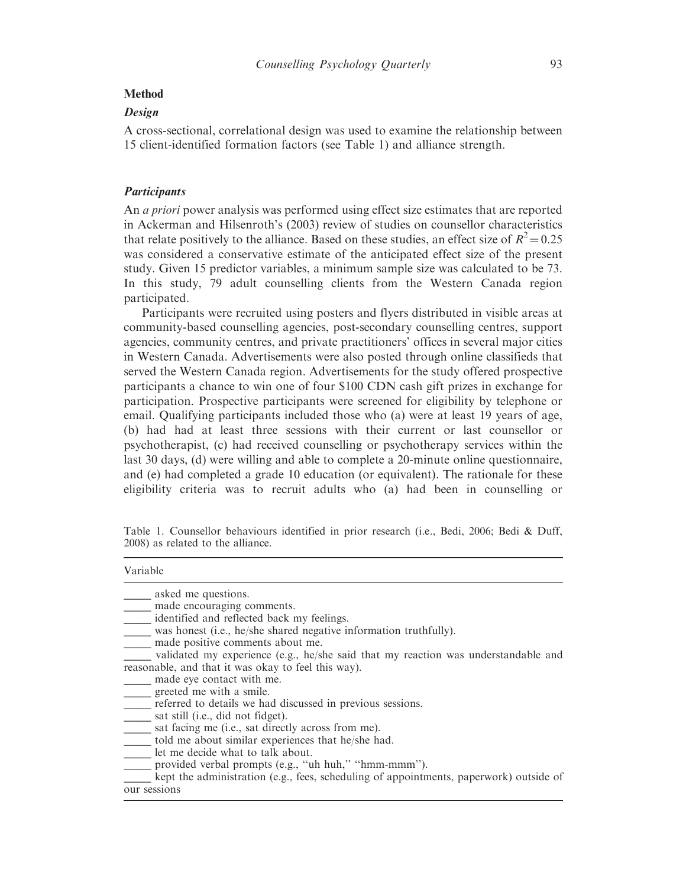#### Method

# Design

A cross-sectional, correlational design was used to examine the relationship between 15 client-identified formation factors (see Table 1) and alliance strength.

#### **Participants**

An *a priori* power analysis was performed using effect size estimates that are reported in Ackerman and Hilsenroth's (2003) review of studies on counsellor characteristics that relate positively to the alliance. Based on these studies, an effect size of  $R^2 = 0.25$ was considered a conservative estimate of the anticipated effect size of the present study. Given 15 predictor variables, a minimum sample size was calculated to be 73. In this study, 79 adult counselling clients from the Western Canada region participated.

Participants were recruited using posters and flyers distributed in visible areas at community-based counselling agencies, post-secondary counselling centres, support agencies, community centres, and private practitioners' offices in several major cities in Western Canada. Advertisements were also posted through online classifieds that served the Western Canada region. Advertisements for the study offered prospective participants a chance to win one of four \$100 CDN cash gift prizes in exchange for participation. Prospective participants were screened for eligibility by telephone or email. Qualifying participants included those who (a) were at least 19 years of age, (b) had had at least three sessions with their current or last counsellor or psychotherapist, (c) had received counselling or psychotherapy services within the last 30 days, (d) were willing and able to complete a 20-minute online questionnaire, and (e) had completed a grade 10 education (or equivalent). The rationale for these eligibility criteria was to recruit adults who (a) had been in counselling or

Table 1. Counsellor behaviours identified in prior research (i.e., Bedi, 2006; Bedi & Duff, 2008) as related to the alliance.

| Variable |  |
|----------|--|
|          |  |
|          |  |

| asked me questions.                                                                |
|------------------------------------------------------------------------------------|
| made encouraging comments.                                                         |
| identified and reflected back my feelings.                                         |
| was honest (i.e., he/she shared negative information truthfully).                  |
| made positive comments about me.                                                   |
| validated my experience (e.g., he/she said that my reaction was understandable and |
| reasonable, and that it was okay to feel this way).                                |
| made eye contact with me.                                                          |
| greeted me with a smile.                                                           |
| referred to details we had discussed in previous sessions.                         |
| sat still (i.e., did not fidget).                                                  |
| sat facing me (i.e., sat directly across from me).                                 |
| told me about similar experiences that he/she had.                                 |
| let me decide what to talk about.                                                  |
| provided verbal prompts (e.g., "uh huh," "hmm-mmm").                               |
|                                                                                    |

kept the administration (e.g., fees, scheduling of appointments, paperwork) outside of our sessions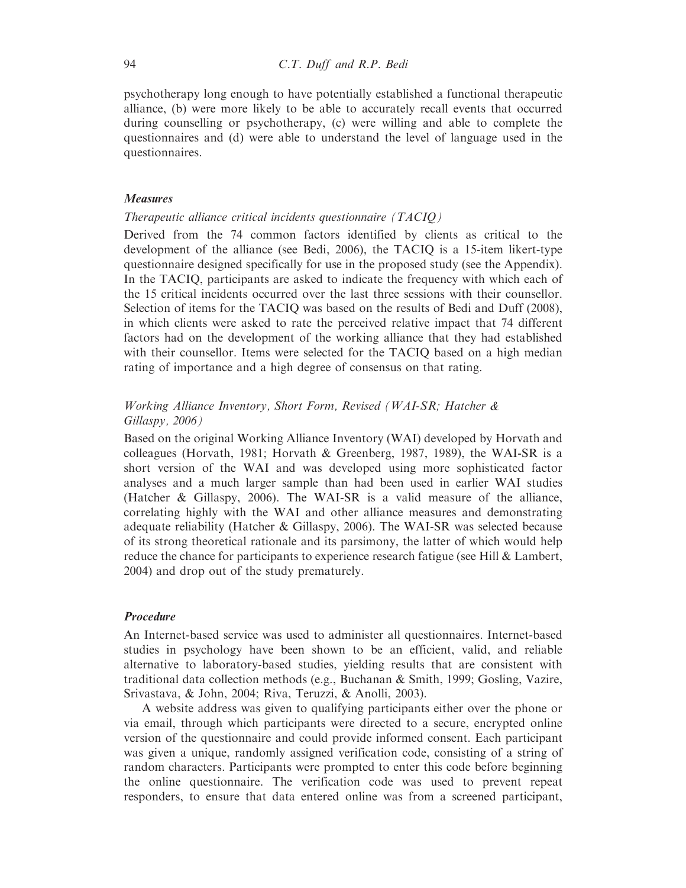psychotherapy long enough to have potentially established a functional therapeutic alliance, (b) were more likely to be able to accurately recall events that occurred during counselling or psychotherapy, (c) were willing and able to complete the questionnaires and (d) were able to understand the level of language used in the questionnaires.

## Measures

# Therapeutic alliance critical incidents questionnaire (TACIQ)

Derived from the 74 common factors identified by clients as critical to the development of the alliance (see Bedi, 2006), the TACIQ is a 15-item likert-type questionnaire designed specifically for use in the proposed study (see the Appendix). In the TACIQ, participants are asked to indicate the frequency with which each of the 15 critical incidents occurred over the last three sessions with their counsellor. Selection of items for the TACIQ was based on the results of Bedi and Duff (2008), in which clients were asked to rate the perceived relative impact that 74 different factors had on the development of the working alliance that they had established with their counsellor. Items were selected for the TACIQ based on a high median rating of importance and a high degree of consensus on that rating.

# Working Alliance Inventory, Short Form, Revised (WAI-SR; Hatcher & Gillaspy, 2006)

Based on the original Working Alliance Inventory (WAI) developed by Horvath and colleagues (Horvath, 1981; Horvath & Greenberg, 1987, 1989), the WAI-SR is a short version of the WAI and was developed using more sophisticated factor analyses and a much larger sample than had been used in earlier WAI studies (Hatcher & Gillaspy, 2006). The WAI-SR is a valid measure of the alliance, correlating highly with the WAI and other alliance measures and demonstrating adequate reliability (Hatcher & Gillaspy, 2006). The WAI-SR was selected because of its strong theoretical rationale and its parsimony, the latter of which would help reduce the chance for participants to experience research fatigue (see Hill & Lambert, 2004) and drop out of the study prematurely.

# Procedure

An Internet-based service was used to administer all questionnaires. Internet-based studies in psychology have been shown to be an efficient, valid, and reliable alternative to laboratory-based studies, yielding results that are consistent with traditional data collection methods (e.g., Buchanan & Smith, 1999; Gosling, Vazire, Srivastava, & John, 2004; Riva, Teruzzi, & Anolli, 2003).

A website address was given to qualifying participants either over the phone or via email, through which participants were directed to a secure, encrypted online version of the questionnaire and could provide informed consent. Each participant was given a unique, randomly assigned verification code, consisting of a string of random characters. Participants were prompted to enter this code before beginning the online questionnaire. The verification code was used to prevent repeat responders, to ensure that data entered online was from a screened participant,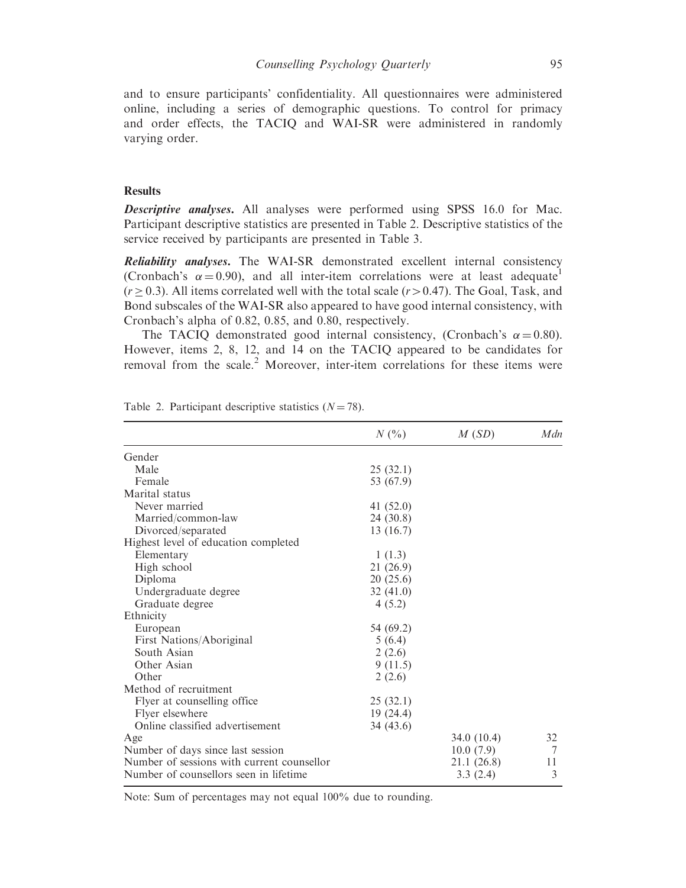and to ensure participants' confidentiality. All questionnaires were administered online, including a series of demographic questions. To control for primacy and order effects, the TACIQ and WAI-SR were administered in randomly varying order.

## **Results**

**Descriptive analyses.** All analyses were performed using SPSS 16.0 for Mac. Participant descriptive statistics are presented in Table 2. Descriptive statistics of the service received by participants are presented in Table 3.

Reliability analyses. The WAI-SR demonstrated excellent internal consistency (Cronbach's  $\alpha = 0.90$ ), and all inter-item correlations were at least adequate<sup>1</sup>  $(r \ge 0.3)$ . All items correlated well with the total scale  $(r > 0.47)$ . The Goal, Task, and Bond subscales of the WAI-SR also appeared to have good internal consistency, with Cronbach's alpha of 0.82, 0.85, and 0.80, respectively.

The TACIQ demonstrated good internal consistency, (Cronbach's  $\alpha = 0.80$ ). However, items 2, 8, 12, and 14 on the TACIQ appeared to be candidates for removal from the scale.<sup>2</sup> Moreover, inter-item correlations for these items were

|                                            | $N($ % $)$  | M(SD)       | Mdn |
|--------------------------------------------|-------------|-------------|-----|
| Gender                                     |             |             |     |
| Male                                       | 25(32.1)    |             |     |
| Female                                     | 53 (67.9)   |             |     |
| Marital status                             |             |             |     |
| Never married                              | 41 $(52.0)$ |             |     |
| Married/common-law                         | 24 (30.8)   |             |     |
| Divorced/separated                         | 13 (16.7)   |             |     |
| Highest level of education completed       |             |             |     |
| Elementary                                 | 1(1.3)      |             |     |
| High school                                | 21(26.9)    |             |     |
| Diploma                                    | 20(25.6)    |             |     |
| Undergraduate degree                       | 32(41.0)    |             |     |
| Graduate degree                            | 4(5.2)      |             |     |
| Ethnicity                                  |             |             |     |
| European                                   | 54 (69.2)   |             |     |
| First Nations/Aboriginal                   | 5(6.4)      |             |     |
| South Asian                                | 2(2.6)      |             |     |
| Other Asian                                | 9(11.5)     |             |     |
| Other                                      | 2(2.6)      |             |     |
| Method of recruitment                      |             |             |     |
| Flyer at counselling office                | 25(32.1)    |             |     |
| Flyer elsewhere                            | 19(24.4)    |             |     |
| Online classified advertisement            | 34 (43.6)   |             |     |
| Age                                        |             | 34.0(10.4)  | 32  |
| Number of days since last session          |             | 10.0(7.9)   | 7   |
| Number of sessions with current counsellor |             | 21.1 (26.8) | 11  |
| Number of counsellors seen in lifetime     |             | 3.3(2.4)    | 3   |

Table 2. Participant descriptive statistics  $(N = 78)$ .

Note: Sum of percentages may not equal 100% due to rounding.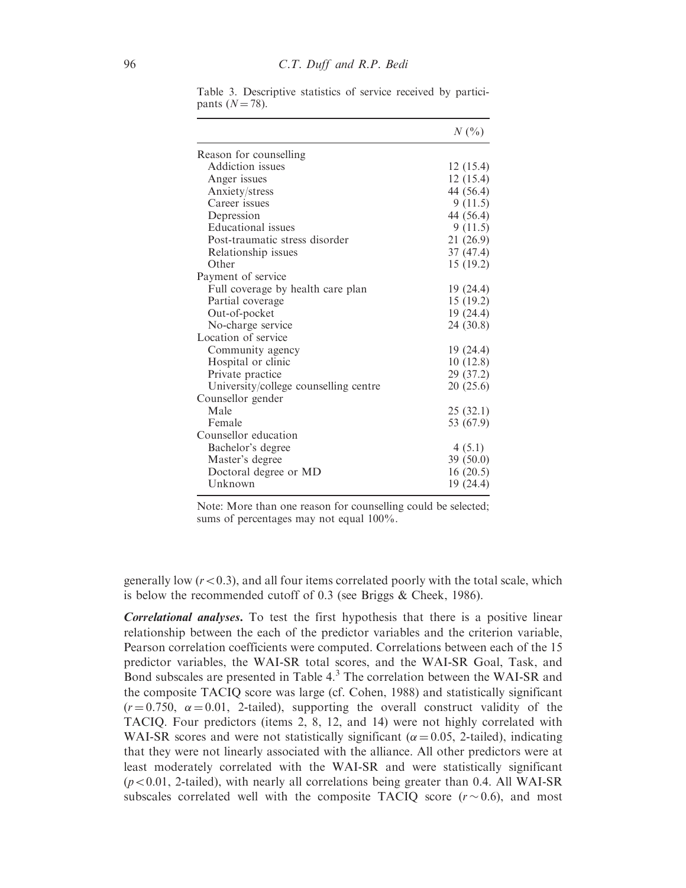|                                       | $N($ %)   |
|---------------------------------------|-----------|
| Reason for counselling                |           |
| Addiction issues                      | 12 (15.4) |
| Anger issues                          | 12(15.4)  |
| Anxiety/stress                        | 44 (56.4) |
| Career issues                         | 9(11.5)   |
| Depression                            | 44 (56.4) |
| Educational issues                    | 9(11.5)   |
| Post-traumatic stress disorder        | 21(26.9)  |
| Relationship issues                   | 37 (47.4) |
| Other                                 | 15 (19.2) |
| Payment of service                    |           |
| Full coverage by health care plan     | 19(24.4)  |
| Partial coverage                      | 15 (19.2) |
| Out-of-pocket                         | 19 (24.4) |
| No-charge service                     | 24 (30.8) |
| Location of service                   |           |
| Community agency                      | 19 (24.4) |
| Hospital or clinic                    | 10(12.8)  |
| Private practice                      | 29 (37.2) |
| University/college counselling centre | 20(25.6)  |
| Counsellor gender                     |           |
| Male                                  | 25(32.1)  |
| Female                                | 53 (67.9) |
| Counsellor education                  |           |
| Bachelor's degree                     | 4(5.1)    |
| Master's degree                       | 39 (50.0) |
| Doctoral degree or MD                 | 16(20.5)  |
| Unknown                               | 19 (24.4) |
|                                       |           |

Table 3. Descriptive statistics of service received by participants  $(N = 78)$ .

Note: More than one reason for counselling could be selected; sums of percentages may not equal  $100\%$ .

generally low  $(r<0.3)$ , and all four items correlated poorly with the total scale, which is below the recommended cutoff of 0.3 (see Briggs & Cheek, 1986).

Correlational analyses. To test the first hypothesis that there is a positive linear relationship between the each of the predictor variables and the criterion variable, Pearson correlation coefficients were computed. Correlations between each of the 15 predictor variables, the WAI-SR total scores, and the WAI-SR Goal, Task, and Bond subscales are presented in Table 4.3 The correlation between the WAI-SR and the composite TACIQ score was large (cf. Cohen, 1988) and statistically significant  $(r=0.750, \alpha=0.01, 2$ -tailed), supporting the overall construct validity of the TACIQ. Four predictors (items 2, 8, 12, and 14) were not highly correlated with WAI-SR scores and were not statistically significant ( $\alpha$  = 0.05, 2-tailed), indicating that they were not linearly associated with the alliance. All other predictors were at least moderately correlated with the WAI-SR and were statistically significant  $(p<0.01, 2$ -tailed), with nearly all correlations being greater than 0.4. All WAI-SR subscales correlated well with the composite TACIQ score  $(r \sim 0.6)$ , and most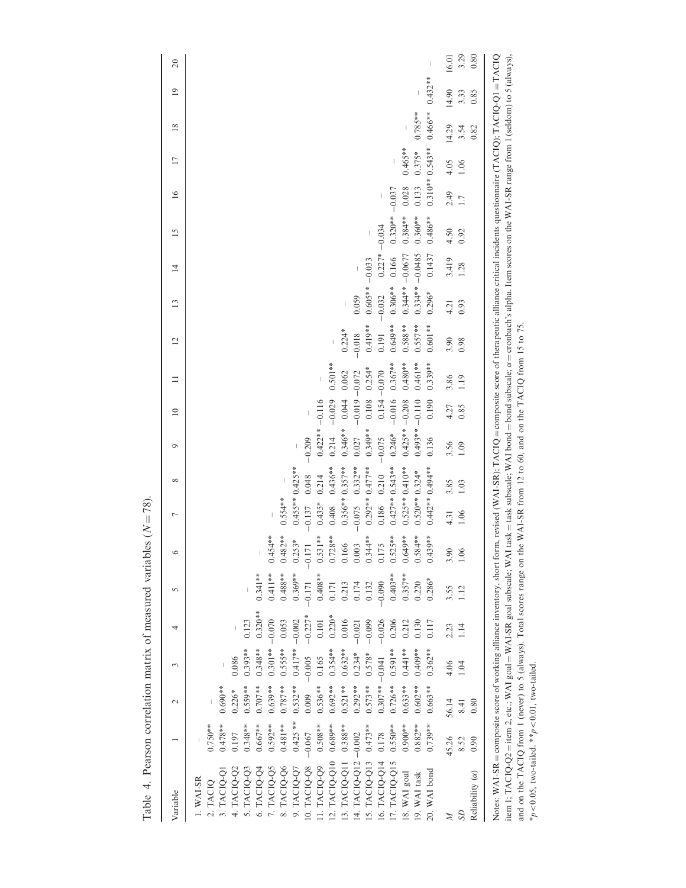| Variable                                        | $\sim$                | 3                 | 4         | $\sqrt{2}$ |           | Γ                  | $\infty$   | $\circ$           | $\approx$        |           | $\overline{c}$ | $\mathbf{13}$     | $\overline{4}$     | $\overline{15}$  | 16    | $\overline{17}$  | $\frac{8}{2}$         | $\overline{19}$ | $\approx$ |
|-------------------------------------------------|-----------------------|-------------------|-----------|------------|-----------|--------------------|------------|-------------------|------------------|-----------|----------------|-------------------|--------------------|------------------|-------|------------------|-----------------------|-----------------|-----------|
| $0.750**$<br>$1.$ WAI-SR<br>2. TACIQ            |                       |                   |           |            |           |                    |            |                   |                  |           |                |                   |                    |                  |       |                  |                       |                 |           |
| $0.478**$<br>0.197<br>4. TACIQ-Q2<br>3. TACIQ-Q | $0.690**$<br>$0.226*$ | 0.086             |           |            |           |                    |            |                   |                  |           |                |                   |                    |                  |       |                  |                       |                 |           |
| $0.348**$<br>5. TACIQ-Q3                        | $0.559**$             | $0.393**$         | 0.123     |            |           |                    |            |                   |                  |           |                |                   |                    |                  |       |                  |                       |                 |           |
| $0.667**$<br>6. TACIQ-Q4                        | $0.707**$             | $0.348**$         | $0.320**$ | $0.341***$ |           |                    |            |                   |                  |           |                |                   |                    |                  |       |                  |                       |                 |           |
| $0.592**$<br>7. TACIQ-Q5                        | $0.639**$             | $0.301** - 0.070$ |           | $0.411***$ | $0.454**$ |                    |            |                   |                  |           |                |                   |                    |                  |       |                  |                       |                 |           |
| $0.481**$<br>8. TACIQ-Q6                        | $0.787**$             | $0.55***$         | 0.053     | $0.488***$ | $0.482**$ | $0.554**$          |            |                   |                  |           |                |                   |                    |                  |       |                  |                       |                 |           |
| $0.425$ **<br>9. TACIQ-Q7                       | $0.532***$            | $0.417** - 0.002$ |           | $0.369**$  | $0.253*$  | $0.455***0.425***$ |            |                   |                  |           |                |                   |                    |                  |       |                  |                       |                 |           |
| $-0.067$<br>10. TACIQ-Q8                        | 0.009                 | $-0.005$          | $-0.227*$ | $-0.171$   | $-0.171$  | $-0.137$           | 0.048      | $-0.209$          |                  |           |                |                   |                    |                  |       |                  |                       |                 |           |
| $0.508**$<br>11. TACIQ-Q9                       | $0.536**$             | 0.165             | $0.101\,$ | $0.408***$ | $0.531**$ | $0.435*$           | 0.214      | $0.422** - 0.116$ |                  |           |                |                   |                    |                  |       |                  |                       |                 |           |
| $0.689**$<br>12. TACIQ-Q10                      | $0.692**$             | $0.354***$        | $0.220*$  | 0.171      | $0.728**$ | 0.408              | $0.436***$ | 0.214             | $-0.029$         | $0.501**$ |                |                   |                    |                  |       |                  |                       |                 |           |
| $0.388**$<br>13. TACIQ-Q11                      | $0.521**$             | $0.632**$         | 0.016     | 0.213      | 0.166     | $0.356**0.357**$   |            | $0.346**$         | 0.044            | 0.062     | $0.224*$       |                   |                    |                  |       |                  |                       |                 |           |
| 14. TACIQ-Q12 -0.002                            | $0.292**$             | $0.234*$          | $-0.021$  | 0.174      | 0.003     | $-0.075$           | $0.332**$  | 0.027             | $-0.019 - 0.072$ |           | $-0.018$       | 0.059             |                    |                  |       |                  |                       |                 |           |
| $0.473**$<br>15. TACIQ-Q13                      | $0.573**$             | $0.578*$          | $-0.099$  | 0.132      | $0.344**$ | $0.292**0.477**$   |            | $0.349**$         | 0.108            | $0.254*$  | $0.419***$     | $0.605** - 0.033$ |                    |                  |       |                  |                       |                 |           |
| 0.178<br>16. TACIQ-Q14                          | $0.307** - 0.041$     |                   | $-0.026$  | $-0.090$   | 0.175     | 0.186              | 0.210      | $-0.075$          | $0.154 - 0.070$  |           | 0.191          | $-0.032$          | $0.227* -0.034$    |                  |       |                  |                       |                 |           |
| $0.550**$<br>17. TACIQ-Q15                      | $0.726**$             | $0.591**$         | 0.206     | $0.403**$  | $0.525**$ | $0.427***$ 0.543** |            | $0.246*$          | $-0.016$         | $0.367**$ | $0.649**$      | $0.306**$         | 0.166              | $0.320** -0.037$ |       |                  |                       |                 |           |
| $0.900**$<br>18. WAI goal                       | $0.633**$             | $0.441**$         | 0.212     | $0.357***$ | $0.649**$ | $0.525***0.410**$  |            | $0.425***$        | $-0.208$         | $0.480**$ | $0.588**$      |                   | $0.344** - 0.0677$ | $0.384***$       | 0.028 | $0.465**$        |                       |                 |           |
| $0.882**$<br>19. WAI task                       | $0.602**$             | $0.409**$         | 0.130     | 0.220      | $0.584**$ | $0.520**0.324*$    |            | $0.493** - 0.110$ |                  | $0.461**$ | $0.557**$      |                   | $0.334** -0.0485$  | $0.360**$        | 0.133 | $0.375*$         | $0.785**$             |                 |           |
| $0.739**$<br>20. WAI bond                       | $0.663**$             | $0.362**$         | 0.117     | $0.286*$   | $0.439**$ | $0.442**0.494**$   |            | 0.136             | 0.190            | $0.339**$ | $0.601**$      | $0.296*$          | 0.1437             | $0.486***$       |       | $0.310**0.543**$ | $0.466***$ $0.432***$ |                 |           |
| 45.26                                           | 56.14                 | 4.06              | 2.23      | 3.55       | 3.90      | 4.31               | 3.85       | 3.56              | 4.27             | 3.86      | 3.90           | 4.21              | 3.419              | 4.50             | 2.49  | 4.05             | 14.29                 | 14.90           | 16.01     |
| 8.52                                            | 8.41                  | 1.04              | 1.14      | 112        | 1.06      | 1.06               | 1.03       | 1.09              | 0.85             | 1.19      | 0.98           | 0.93              | 1.28               | 0.92             | 1.7   | 1.06             | 3.54                  | 3.33            | 3.29      |
| 0.90<br>Reliability $(\alpha)$                  | 0.80                  |                   |           |            |           |                    |            |                   |                  |           |                |                   |                    |                  |       |                  | 0.82                  | 0.85            | 0.80      |

Table 4. Pearson correlation matrix of measured variables ( $N = 78$ ). Table 4. Pearson correlation matrix of measured variables  $(N = 78)$ . Notes: WAI-SK = composite score of working alliance mventory, short form, revised (WAI-SK); TACIQ = composite score of therapeutic alliance critical medents questionnaire (TACIQ); TACIQQ<br>item 1; TACIQ-Q2 = item 2, etc.; W item 1; TACIQ-Q2=item 2, etc.; WAI goal = WAI-SR goal subscale; WAI task = task subscale; WAI bond subscale;  $\alpha$  = cronbach's alpha. Item scores on the WAI-SR range from 1 (seldom) to 5 (always), and on the TACIQ from 1 (never) to 5 (always). Total scores range on the WAI-SR from 12 to 60, and on the TACIQ from 15 to 75. \* $p<0.05$ , two-tailed. \*\* $p<0.01$ , two-tailed.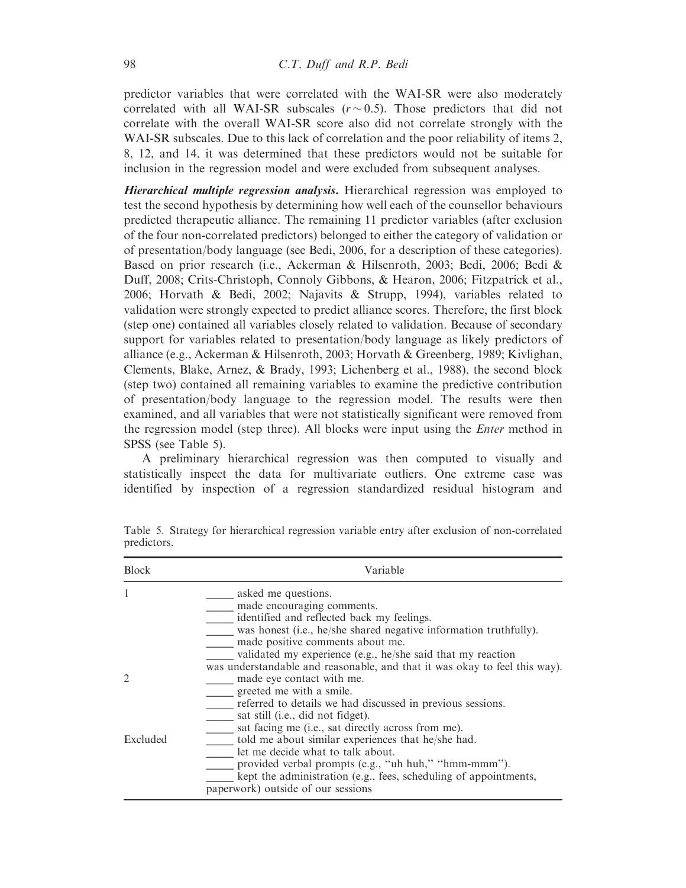predictor variables that were correlated with the WAI-SR were also moderately correlated with all WAI-SR subscales  $(r \sim 0.5)$ . Those predictors that did not correlate with the overall WAI-SR score also did not correlate strongly with the WAI-SR subscales. Due to this lack of correlation and the poor reliability of items 2, 8, 12, and 14, it was determined that these predictors would not be suitable for inclusion in the regression model and were excluded from subsequent analyses.

Hierarchical multiple regression analysis. Hierarchical regression was employed to test the second hypothesis by determining how well each of the counsellor behaviours predicted therapeutic alliance. The remaining 11 predictor variables (after exclusion of the four non-correlated predictors) belonged to either the category of validation or of presentation/body language (see Bedi, 2006, for a description of these categories). Based on prior research (i.e., Ackerman & Hilsenroth, 2003; Bedi, 2006; Bedi & Duff, 2008; Crits-Christoph, Connoly Gibbons, & Hearon, 2006; Fitzpatrick et al., 2006; Horvath & Bedi, 2002; Najavits & Strupp, 1994), variables related to validation were strongly expected to predict alliance scores. Therefore, the first block (step one) contained all variables closely related to validation. Because of secondary support for variables related to presentation/body language as likely predictors of alliance (e.g., Ackerman & Hilsenroth, 2003; Horvath & Greenberg, 1989; Kivlighan, Clements, Blake, Arnez, & Brady, 1993; Lichenberg et al., 1988), the second block (step two) contained all remaining variables to examine the predictive contribution of presentation/body language to the regression model. The results were then examined, and all variables that were not statistically significant were removed from the regression model (step three). All blocks were input using the Enter method in SPSS (see Table 5).

A preliminary hierarchical regression was then computed to visually and statistically inspect the data for multivariate outliers. One extreme case was identified by inspection of a regression standardized residual histogram and

| <b>Block</b> | Variable                                                                                                                                                                                                                                                                                     |
|--------------|----------------------------------------------------------------------------------------------------------------------------------------------------------------------------------------------------------------------------------------------------------------------------------------------|
|              | asked me questions.<br>made encouraging comments.<br>identified and reflected back my feelings.<br>was honest (i.e., he/she shared negative information truthfully).<br>made positive comments about me.<br>validated my experience (e.g., he/she said that my reaction                      |
| 2            | was understandable and reasonable, and that it was okay to feel this way).<br>made eye contact with me.<br>greeted me with a smile.<br>referred to details we had discussed in previous sessions.<br>sat still (i.e., did not fidget).<br>sat facing me (i.e., sat directly across from me). |
| Excluded     | told me about similar experiences that he/she had.<br>let me decide what to talk about.<br>provided verbal prompts (e.g., "uh huh," "hmm-mmm").<br>kept the administration (e.g., fees, scheduling of appointments,<br>paperwork) outside of our sessions                                    |

Table 5. Strategy for hierarchical regression variable entry after exclusion of non-correlated predictors.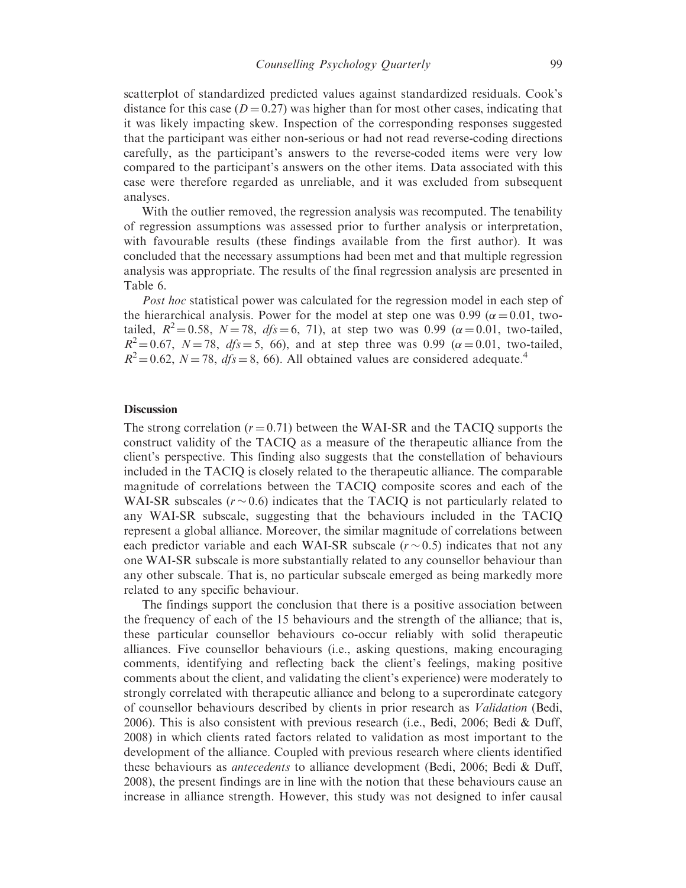scatterplot of standardized predicted values against standardized residuals. Cook's distance for this case ( $D = 0.27$ ) was higher than for most other cases, indicating that it was likely impacting skew. Inspection of the corresponding responses suggested that the participant was either non-serious or had not read reverse-coding directions carefully, as the participant's answers to the reverse-coded items were very low compared to the participant's answers on the other items. Data associated with this case were therefore regarded as unreliable, and it was excluded from subsequent analyses.

With the outlier removed, the regression analysis was recomputed. The tenability of regression assumptions was assessed prior to further analysis or interpretation, with favourable results (these findings available from the first author). It was concluded that the necessary assumptions had been met and that multiple regression analysis was appropriate. The results of the final regression analysis are presented in Table 6.

Post hoc statistical power was calculated for the regression model in each step of the hierarchical analysis. Power for the model at step one was 0.99 ( $\alpha$  = 0.01, twotailed,  $R^2 = 0.58$ ,  $N = 78$ ,  $dfs = 6$ , 71), at step two was 0.99 ( $\alpha = 0.01$ , two-tailed,  $R^2 = 0.67$ ,  $N = 78$ ,  $dfs = 5$ , 66), and at step three was 0.99 ( $\alpha = 0.01$ , two-tailed,  $R^2 = 0.62$ ,  $N = 78$ ,  $dfs = 8$ , 66). All obtained values are considered adequate.<sup>4</sup>

## **Discussion**

The strong correlation  $(r = 0.71)$  between the WAI-SR and the TACIO supports the construct validity of the TACIQ as a measure of the therapeutic alliance from the client's perspective. This finding also suggests that the constellation of behaviours included in the TACIQ is closely related to the therapeutic alliance. The comparable magnitude of correlations between the TACIQ composite scores and each of the WAI-SR subscales ( $r \sim 0.6$ ) indicates that the TACIQ is not particularly related to any WAI-SR subscale, suggesting that the behaviours included in the TACIQ represent a global alliance. Moreover, the similar magnitude of correlations between each predictor variable and each WAI-SR subscale  $(r \sim 0.5)$  indicates that not any one WAI-SR subscale is more substantially related to any counsellor behaviour than any other subscale. That is, no particular subscale emerged as being markedly more related to any specific behaviour.

The findings support the conclusion that there is a positive association between the frequency of each of the 15 behaviours and the strength of the alliance; that is, these particular counsellor behaviours co-occur reliably with solid therapeutic alliances. Five counsellor behaviours (i.e., asking questions, making encouraging comments, identifying and reflecting back the client's feelings, making positive comments about the client, and validating the client's experience) were moderately to strongly correlated with therapeutic alliance and belong to a superordinate category of counsellor behaviours described by clients in prior research as Validation (Bedi, 2006). This is also consistent with previous research (i.e., Bedi, 2006; Bedi & Duff, 2008) in which clients rated factors related to validation as most important to the development of the alliance. Coupled with previous research where clients identified these behaviours as antecedents to alliance development (Bedi, 2006; Bedi & Duff, 2008), the present findings are in line with the notion that these behaviours cause an increase in alliance strength. However, this study was not designed to infer causal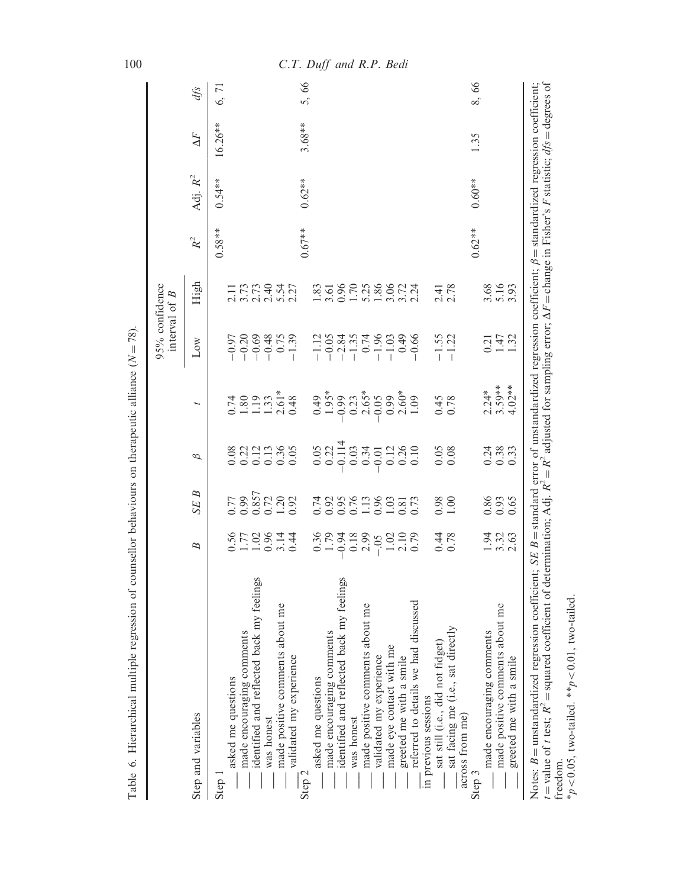|                                                            |                                       |                                                                      |                                                       |                                        |                                          | interval of $B$            |                             |            |            |        |
|------------------------------------------------------------|---------------------------------------|----------------------------------------------------------------------|-------------------------------------------------------|----------------------------------------|------------------------------------------|----------------------------|-----------------------------|------------|------------|--------|
| Step and variables                                         | $\overline{B}$                        | B<br><b>SE</b>                                                       | $\beta$                                               | I                                      | $_{\text{Low}}$                          | High                       | $\ensuremath{\mathit{R}}^2$ | Adj. $R^2$ | $\Delta F$ | $df_S$ |
| Step                                                       |                                       |                                                                      |                                                       |                                        |                                          |                            | $0.58***$                   | $0.54**$   | 16.26**    | 6,71   |
| asked me questions                                         |                                       |                                                                      | 0.08                                                  | 0.74                                   | $-0.97$                                  |                            |                             |            |            |        |
| made encouraging comments                                  |                                       | $\begin{array}{c} 0.77 \\ 0.99 \\ 0.857 \\ 0.72 \\ 1.20 \end{array}$ | 0.22                                                  | $1.80$<br>$1.33$<br>$1.33$<br>$2.61$ * | $-0.20$                                  | $177794$<br>$277794$       |                             |            |            |        |
| identified and reflected back my feelings                  |                                       |                                                                      | $\begin{array}{c} 0.12 \\ 0.36 \\ 0.36 \end{array}$   |                                        | $-0.69$<br>$-0.48$<br>0.75               |                            |                             |            |            |        |
| was honest                                                 |                                       |                                                                      |                                                       |                                        |                                          |                            |                             |            |            |        |
| made positive comments about me<br>validated my experience | 0.52814<br>0.72814                    | 0.92                                                                 | 0.05                                                  | 0.48                                   | $-1.39$                                  | 2.27                       |                             |            |            |        |
| Step 2                                                     |                                       |                                                                      |                                                       |                                        |                                          |                            | $0.67***$                   | $0.62**$   | $3.68**$   | 5,66   |
| asked me questions                                         | $0.36$<br>$-0.79$                     | 0.74                                                                 | $\begin{array}{c} 0.05 \\ 0.22 \\ -0.114 \end{array}$ | $0.49$<br>1.95*                        | $-1.12$                                  |                            |                             |            |            |        |
| made encouraging comments                                  |                                       |                                                                      |                                                       |                                        |                                          |                            |                             |            |            |        |
| identified and reflected back my feelings                  |                                       | 0.9567.998.99                                                        |                                                       | $-0.99$                                | $-0.05$<br>$-2.84$<br>$-1.35$<br>$-1.35$ |                            |                             |            |            |        |
| was honest                                                 | $0.18$<br>2.99                        |                                                                      | 0.03                                                  |                                        |                                          |                            |                             |            |            |        |
| made positive comments about me                            |                                       |                                                                      | 0.34                                                  | $0.23$<br>$-2.65*$<br>$-0.05$          |                                          |                            |                             |            |            |        |
| validated my experience                                    | $-0.05$<br>$1.02$<br>$2.10$<br>$0.79$ |                                                                      | $-0.01$                                               |                                        | $-1.96$<br>$-1.03$<br>0.49               |                            |                             |            |            |        |
| made eye contact with me                                   |                                       |                                                                      |                                                       | 0.99                                   |                                          |                            |                             |            |            |        |
| greeted me with a smile                                    |                                       |                                                                      | $\begin{array}{c} 0.12 \\ 0.36 \\ 0.10 \end{array}$   | $2.60*$                                |                                          |                            |                             |            |            |        |
| referred to details we had discussed                       |                                       |                                                                      |                                                       | 1.09                                   | $-0.66$                                  |                            |                             |            |            |        |
| in previous sessions                                       |                                       |                                                                      |                                                       |                                        |                                          |                            |                             |            |            |        |
| sat still (i.e., did not fidget)                           | 0.78                                  | $0.98$<br>1.00                                                       | $0.05$<br>0.08                                        | $0.45$<br>0.78                         | $-1.55$<br>$-1.22$                       | $2.41$<br>$2.78$           |                             |            |            |        |
| sat facing me (i.e., sat directly<br>across from me)       |                                       |                                                                      |                                                       |                                        |                                          |                            |                             |            |            |        |
| Step 3                                                     |                                       |                                                                      |                                                       |                                        |                                          |                            | $0.62***$                   | $0.60**$   | 1.35       | 8,66   |
| made encouraging comments                                  |                                       | 0.86                                                                 | 0.24                                                  | $2.24*$                                | 0.21                                     |                            |                             |            |            |        |
| made positive comments about me                            | $1.320$<br>$-2.30$                    | 0.93                                                                 | 0.38                                                  | $3.59**$                               | 1.47                                     | $3.16$<br>$5.16$<br>$3.93$ |                             |            |            |        |
| greeted me with a smile                                    |                                       |                                                                      | 0.33                                                  | $4.02**$                               |                                          |                            |                             |            |            |        |

# 100 C.T. Duff and R.P. Bedi

 $< 0.05$ , two-tailed. \*\* $p$  $< 0.01$ , two-tailed.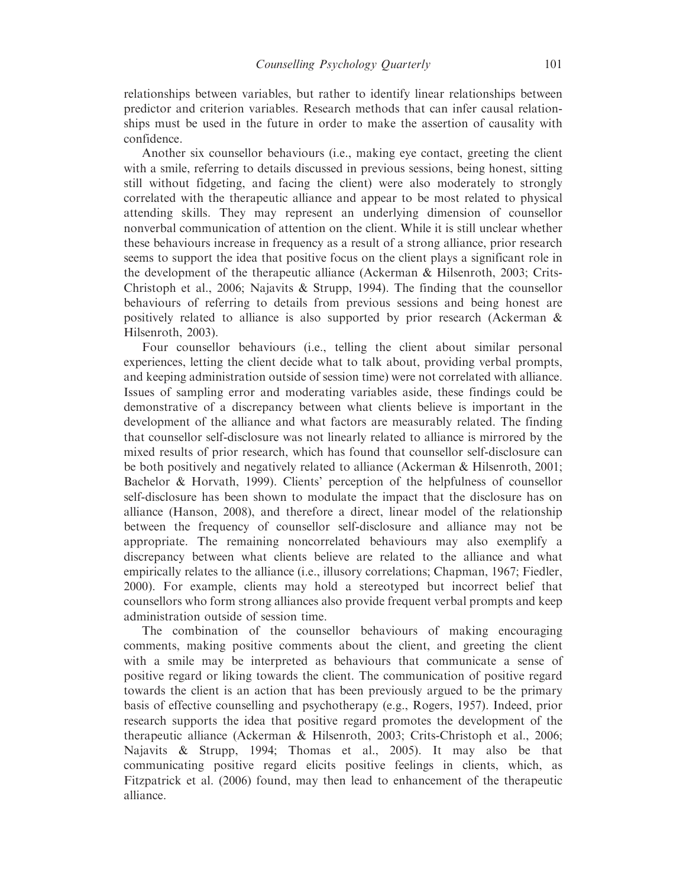relationships between variables, but rather to identify linear relationships between predictor and criterion variables. Research methods that can infer causal relationships must be used in the future in order to make the assertion of causality with confidence.

Another six counsellor behaviours (i.e., making eye contact, greeting the client with a smile, referring to details discussed in previous sessions, being honest, sitting still without fidgeting, and facing the client) were also moderately to strongly correlated with the therapeutic alliance and appear to be most related to physical attending skills. They may represent an underlying dimension of counsellor nonverbal communication of attention on the client. While it is still unclear whether these behaviours increase in frequency as a result of a strong alliance, prior research seems to support the idea that positive focus on the client plays a significant role in the development of the therapeutic alliance (Ackerman & Hilsenroth, 2003; Crits-Christoph et al., 2006; Najavits & Strupp, 1994). The finding that the counsellor behaviours of referring to details from previous sessions and being honest are positively related to alliance is also supported by prior research (Ackerman & Hilsenroth, 2003).

Four counsellor behaviours (i.e., telling the client about similar personal experiences, letting the client decide what to talk about, providing verbal prompts, and keeping administration outside of session time) were not correlated with alliance. Issues of sampling error and moderating variables aside, these findings could be demonstrative of a discrepancy between what clients believe is important in the development of the alliance and what factors are measurably related. The finding that counsellor self-disclosure was not linearly related to alliance is mirrored by the mixed results of prior research, which has found that counsellor self-disclosure can be both positively and negatively related to alliance (Ackerman & Hilsenroth, 2001; Bachelor & Horvath, 1999). Clients' perception of the helpfulness of counsellor self-disclosure has been shown to modulate the impact that the disclosure has on alliance (Hanson, 2008), and therefore a direct, linear model of the relationship between the frequency of counsellor self-disclosure and alliance may not be appropriate. The remaining noncorrelated behaviours may also exemplify a discrepancy between what clients believe are related to the alliance and what empirically relates to the alliance (i.e., illusory correlations; Chapman, 1967; Fiedler, 2000). For example, clients may hold a stereotyped but incorrect belief that counsellors who form strong alliances also provide frequent verbal prompts and keep administration outside of session time.

The combination of the counsellor behaviours of making encouraging comments, making positive comments about the client, and greeting the client with a smile may be interpreted as behaviours that communicate a sense of positive regard or liking towards the client. The communication of positive regard towards the client is an action that has been previously argued to be the primary basis of effective counselling and psychotherapy (e.g., Rogers, 1957). Indeed, prior research supports the idea that positive regard promotes the development of the therapeutic alliance (Ackerman & Hilsenroth, 2003; Crits-Christoph et al., 2006; Najavits & Strupp, 1994; Thomas et al., 2005). It may also be that communicating positive regard elicits positive feelings in clients, which, as Fitzpatrick et al. (2006) found, may then lead to enhancement of the therapeutic alliance.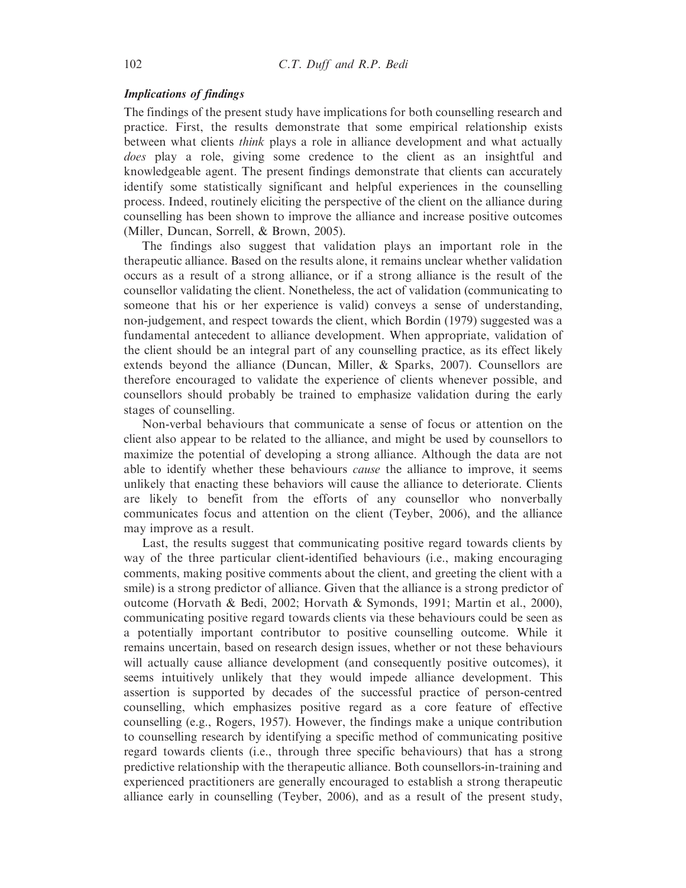# Implications of findings

The findings of the present study have implications for both counselling research and practice. First, the results demonstrate that some empirical relationship exists between what clients think plays a role in alliance development and what actually does play a role, giving some credence to the client as an insightful and knowledgeable agent. The present findings demonstrate that clients can accurately identify some statistically significant and helpful experiences in the counselling process. Indeed, routinely eliciting the perspective of the client on the alliance during counselling has been shown to improve the alliance and increase positive outcomes (Miller, Duncan, Sorrell, & Brown, 2005).

The findings also suggest that validation plays an important role in the therapeutic alliance. Based on the results alone, it remains unclear whether validation occurs as a result of a strong alliance, or if a strong alliance is the result of the counsellor validating the client. Nonetheless, the act of validation (communicating to someone that his or her experience is valid) conveys a sense of understanding, non-judgement, and respect towards the client, which Bordin (1979) suggested was a fundamental antecedent to alliance development. When appropriate, validation of the client should be an integral part of any counselling practice, as its effect likely extends beyond the alliance (Duncan, Miller, & Sparks, 2007). Counsellors are therefore encouraged to validate the experience of clients whenever possible, and counsellors should probably be trained to emphasize validation during the early stages of counselling.

Non-verbal behaviours that communicate a sense of focus or attention on the client also appear to be related to the alliance, and might be used by counsellors to maximize the potential of developing a strong alliance. Although the data are not able to identify whether these behaviours *cause* the alliance to improve, it seems unlikely that enacting these behaviors will cause the alliance to deteriorate. Clients are likely to benefit from the efforts of any counsellor who nonverbally communicates focus and attention on the client (Teyber, 2006), and the alliance may improve as a result.

Last, the results suggest that communicating positive regard towards clients by way of the three particular client-identified behaviours (i.e., making encouraging comments, making positive comments about the client, and greeting the client with a smile) is a strong predictor of alliance. Given that the alliance is a strong predictor of outcome (Horvath & Bedi, 2002; Horvath & Symonds, 1991; Martin et al., 2000), communicating positive regard towards clients via these behaviours could be seen as a potentially important contributor to positive counselling outcome. While it remains uncertain, based on research design issues, whether or not these behaviours will actually cause alliance development (and consequently positive outcomes), it seems intuitively unlikely that they would impede alliance development. This assertion is supported by decades of the successful practice of person-centred counselling, which emphasizes positive regard as a core feature of effective counselling (e.g., Rogers, 1957). However, the findings make a unique contribution to counselling research by identifying a specific method of communicating positive regard towards clients (i.e., through three specific behaviours) that has a strong predictive relationship with the therapeutic alliance. Both counsellors-in-training and experienced practitioners are generally encouraged to establish a strong therapeutic alliance early in counselling (Teyber, 2006), and as a result of the present study,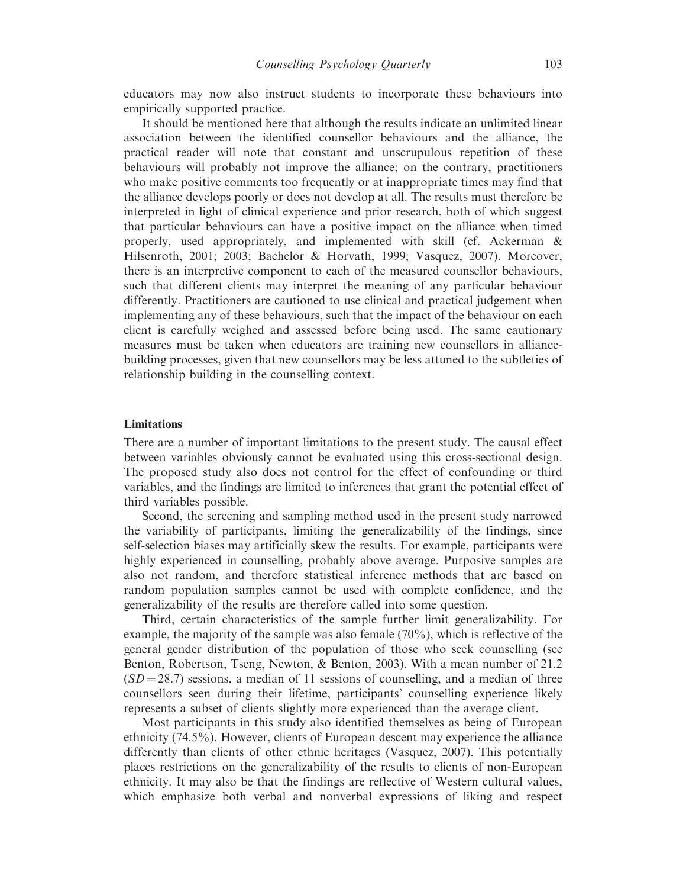educators may now also instruct students to incorporate these behaviours into empirically supported practice.

It should be mentioned here that although the results indicate an unlimited linear association between the identified counsellor behaviours and the alliance, the practical reader will note that constant and unscrupulous repetition of these behaviours will probably not improve the alliance; on the contrary, practitioners who make positive comments too frequently or at inappropriate times may find that the alliance develops poorly or does not develop at all. The results must therefore be interpreted in light of clinical experience and prior research, both of which suggest that particular behaviours can have a positive impact on the alliance when timed properly, used appropriately, and implemented with skill (cf. Ackerman & Hilsenroth, 2001; 2003; Bachelor & Horvath, 1999; Vasquez, 2007). Moreover, there is an interpretive component to each of the measured counsellor behaviours, such that different clients may interpret the meaning of any particular behaviour differently. Practitioners are cautioned to use clinical and practical judgement when implementing any of these behaviours, such that the impact of the behaviour on each client is carefully weighed and assessed before being used. The same cautionary measures must be taken when educators are training new counsellors in alliancebuilding processes, given that new counsellors may be less attuned to the subtleties of relationship building in the counselling context.

#### **Limitations**

There are a number of important limitations to the present study. The causal effect between variables obviously cannot be evaluated using this cross-sectional design. The proposed study also does not control for the effect of confounding or third variables, and the findings are limited to inferences that grant the potential effect of third variables possible.

Second, the screening and sampling method used in the present study narrowed the variability of participants, limiting the generalizability of the findings, since self-selection biases may artificially skew the results. For example, participants were highly experienced in counselling, probably above average. Purposive samples are also not random, and therefore statistical inference methods that are based on random population samples cannot be used with complete confidence, and the generalizability of the results are therefore called into some question.

Third, certain characteristics of the sample further limit generalizability. For example, the majority of the sample was also female (70%), which is reflective of the general gender distribution of the population of those who seek counselling (see Benton, Robertson, Tseng, Newton, & Benton, 2003). With a mean number of 21.2  $(SD = 28.7)$  sessions, a median of 11 sessions of counselling, and a median of three counsellors seen during their lifetime, participants' counselling experience likely represents a subset of clients slightly more experienced than the average client.

Most participants in this study also identified themselves as being of European ethnicity (74.5%). However, clients of European descent may experience the alliance differently than clients of other ethnic heritages (Vasquez, 2007). This potentially places restrictions on the generalizability of the results to clients of non-European ethnicity. It may also be that the findings are reflective of Western cultural values, which emphasize both verbal and nonverbal expressions of liking and respect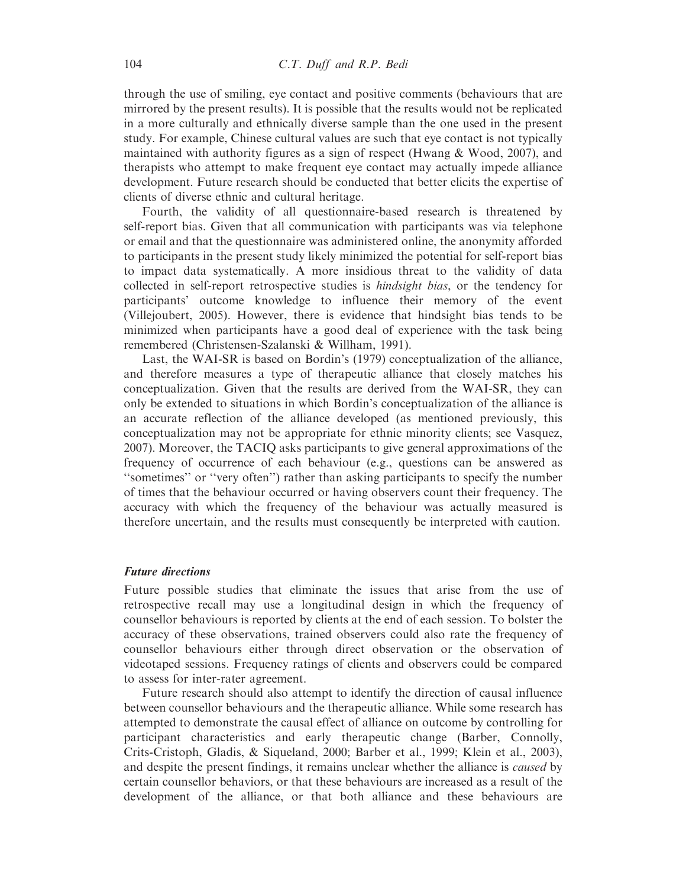through the use of smiling, eye contact and positive comments (behaviours that are mirrored by the present results). It is possible that the results would not be replicated in a more culturally and ethnically diverse sample than the one used in the present study. For example, Chinese cultural values are such that eye contact is not typically maintained with authority figures as a sign of respect (Hwang & Wood, 2007), and therapists who attempt to make frequent eye contact may actually impede alliance development. Future research should be conducted that better elicits the expertise of clients of diverse ethnic and cultural heritage.

Fourth, the validity of all questionnaire-based research is threatened by self-report bias. Given that all communication with participants was via telephone or email and that the questionnaire was administered online, the anonymity afforded to participants in the present study likely minimized the potential for self-report bias to impact data systematically. A more insidious threat to the validity of data collected in self-report retrospective studies is hindsight bias, or the tendency for participants' outcome knowledge to influence their memory of the event (Villejoubert, 2005). However, there is evidence that hindsight bias tends to be minimized when participants have a good deal of experience with the task being remembered (Christensen-Szalanski & Willham, 1991).

Last, the WAI-SR is based on Bordin's (1979) conceptualization of the alliance, and therefore measures a type of therapeutic alliance that closely matches his conceptualization. Given that the results are derived from the WAI-SR, they can only be extended to situations in which Bordin's conceptualization of the alliance is an accurate reflection of the alliance developed (as mentioned previously, this conceptualization may not be appropriate for ethnic minority clients; see Vasquez, 2007). Moreover, the TACIQ asks participants to give general approximations of the frequency of occurrence of each behaviour (e.g., questions can be answered as ''sometimes'' or ''very often'') rather than asking participants to specify the number of times that the behaviour occurred or having observers count their frequency. The accuracy with which the frequency of the behaviour was actually measured is therefore uncertain, and the results must consequently be interpreted with caution.

#### Future directions

Future possible studies that eliminate the issues that arise from the use of retrospective recall may use a longitudinal design in which the frequency of counsellor behaviours is reported by clients at the end of each session. To bolster the accuracy of these observations, trained observers could also rate the frequency of counsellor behaviours either through direct observation or the observation of videotaped sessions. Frequency ratings of clients and observers could be compared to assess for inter-rater agreement.

Future research should also attempt to identify the direction of causal influence between counsellor behaviours and the therapeutic alliance. While some research has attempted to demonstrate the causal effect of alliance on outcome by controlling for participant characteristics and early therapeutic change (Barber, Connolly, Crits-Cristoph, Gladis, & Siqueland, 2000; Barber et al., 1999; Klein et al., 2003), and despite the present findings, it remains unclear whether the alliance is caused by certain counsellor behaviors, or that these behaviours are increased as a result of the development of the alliance, or that both alliance and these behaviours are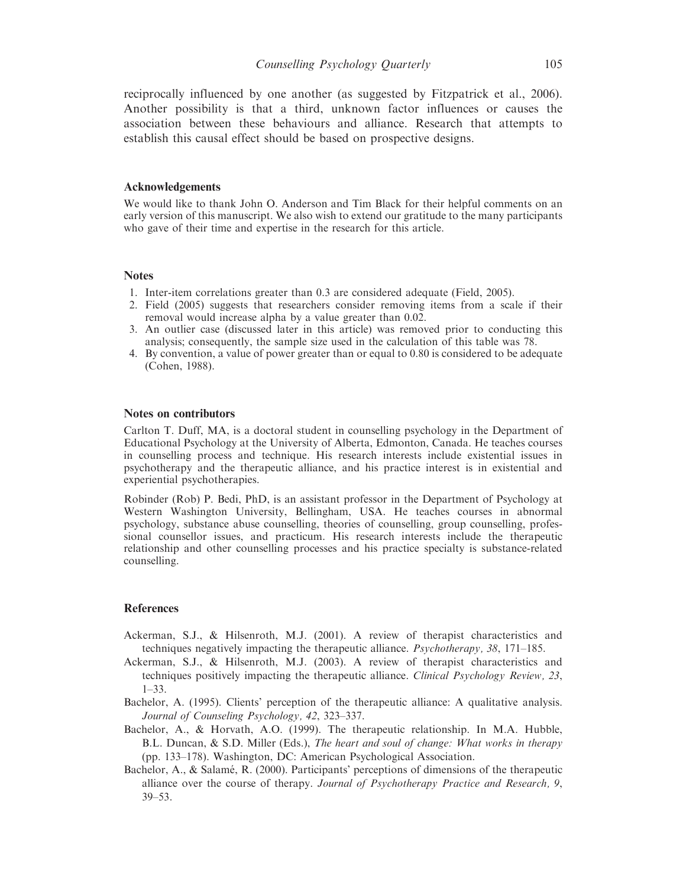reciprocally influenced by one another (as suggested by Fitzpatrick et al., 2006). Another possibility is that a third, unknown factor influences or causes the association between these behaviours and alliance. Research that attempts to establish this causal effect should be based on prospective designs.

#### Acknowledgements

We would like to thank John O. Anderson and Tim Black for their helpful comments on an early version of this manuscript. We also wish to extend our gratitude to the many participants who gave of their time and expertise in the research for this article.

#### **Notes**

- 1. Inter-item correlations greater than 0.3 are considered adequate (Field, 2005).
- 2. Field (2005) suggests that researchers consider removing items from a scale if their removal would increase alpha by a value greater than 0.02.
- 3. An outlier case (discussed later in this article) was removed prior to conducting this analysis; consequently, the sample size used in the calculation of this table was 78.
- 4. By convention, a value of power greater than or equal to 0.80 is considered to be adequate (Cohen, 1988).

#### Notes on contributors

Carlton T. Duff, MA, is a doctoral student in counselling psychology in the Department of Educational Psychology at the University of Alberta, Edmonton, Canada. He teaches courses in counselling process and technique. His research interests include existential issues in psychotherapy and the therapeutic alliance, and his practice interest is in existential and experiential psychotherapies.

Robinder (Rob) P. Bedi, PhD, is an assistant professor in the Department of Psychology at Western Washington University, Bellingham, USA. He teaches courses in abnormal psychology, substance abuse counselling, theories of counselling, group counselling, professional counsellor issues, and practicum. His research interests include the therapeutic relationship and other counselling processes and his practice specialty is substance-related counselling.

#### References

- Ackerman, S.J., & Hilsenroth, M.J. (2001). A review of therapist characteristics and techniques negatively impacting the therapeutic alliance. Psychotherapy, 38, 171–185.
- Ackerman, S.J., & Hilsenroth, M.J. (2003). A review of therapist characteristics and techniques positively impacting the therapeutic alliance. Clinical Psychology Review, 23, 1–33.
- Bachelor, A. (1995). Clients' perception of the therapeutic alliance: A qualitative analysis. Journal of Counseling Psychology, 42, 323–337.
- Bachelor, A., & Horvath, A.O. (1999). The therapeutic relationship. In M.A. Hubble, B.L. Duncan, & S.D. Miller (Eds.), The heart and soul of change: What works in therapy (pp. 133–178). Washington, DC: American Psychological Association.
- Bachelor, A., & Salamé, R. (2000). Participants' perceptions of dimensions of the therapeutic alliance over the course of therapy. Journal of Psychotherapy Practice and Research, 9, 39–53.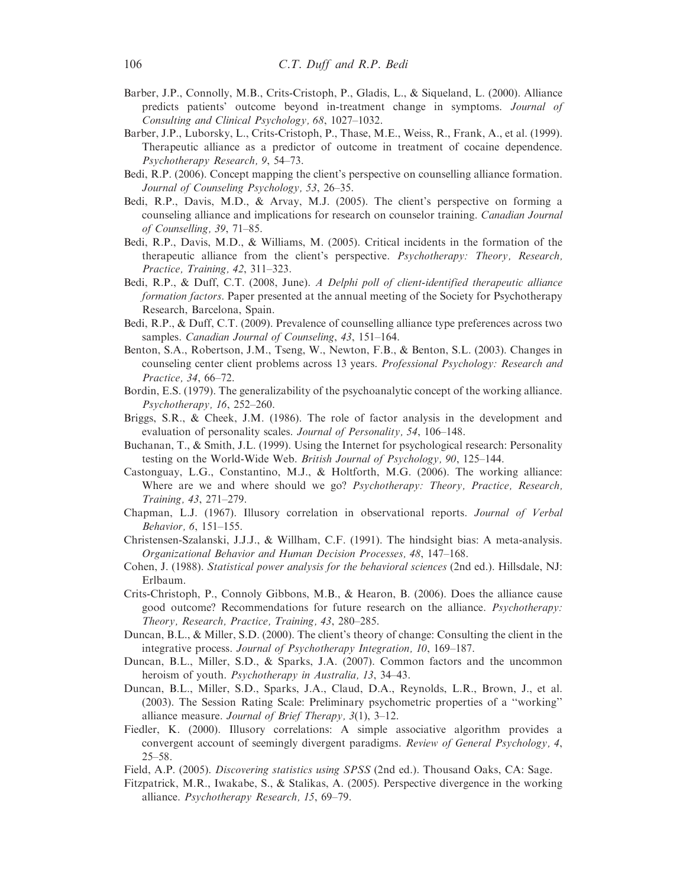- Barber, J.P., Connolly, M.B., Crits-Cristoph, P., Gladis, L., & Siqueland, L. (2000). Alliance predicts patients' outcome beyond in-treatment change in symptoms. Journal of Consulting and Clinical Psychology, 68, 1027–1032.
- Barber, J.P., Luborsky, L., Crits-Cristoph, P., Thase, M.E., Weiss, R., Frank, A., et al. (1999). Therapeutic alliance as a predictor of outcome in treatment of cocaine dependence. Psychotherapy Research, 9, 54–73.
- Bedi, R.P. (2006). Concept mapping the client's perspective on counselling alliance formation. Journal of Counseling Psychology, 53, 26–35.
- Bedi, R.P., Davis, M.D., & Arvay, M.J. (2005). The client's perspective on forming a counseling alliance and implications for research on counselor training. Canadian Journal of Counselling, 39, 71–85.
- Bedi, R.P., Davis, M.D., & Williams, M. (2005). Critical incidents in the formation of the therapeutic alliance from the client's perspective. Psychotherapy: Theory, Research, Practice, Training, 42, 311–323.
- Bedi, R.P., & Duff, C.T. (2008, June). A Delphi poll of client-identified therapeutic alliance formation factors. Paper presented at the annual meeting of the Society for Psychotherapy Research, Barcelona, Spain.
- Bedi, R.P., & Duff, C.T. (2009). Prevalence of counselling alliance type preferences across two samples. Canadian Journal of Counseling, 43, 151–164.
- Benton, S.A., Robertson, J.M., Tseng, W., Newton, F.B., & Benton, S.L. (2003). Changes in counseling center client problems across 13 years. Professional Psychology: Research and Practice, 34, 66–72.
- Bordin, E.S. (1979). The generalizability of the psychoanalytic concept of the working alliance. Psychotherapy, 16, 252–260.
- Briggs, S.R., & Cheek, J.M. (1986). The role of factor analysis in the development and evaluation of personality scales. Journal of Personality, 54, 106–148.
- Buchanan, T., & Smith, J.L. (1999). Using the Internet for psychological research: Personality testing on the World-Wide Web. British Journal of Psychology, 90, 125–144.
- Castonguay, L.G., Constantino, M.J., & Holtforth, M.G. (2006). The working alliance: Where are we and where should we go? *Psychotherapy: Theory, Practice, Research,* Training, 43, 271–279.
- Chapman, L.J. (1967). Illusory correlation in observational reports. Journal of Verbal Behavior, 6, 151–155.
- Christensen-Szalanski, J.J.J., & Willham, C.F. (1991). The hindsight bias: A meta-analysis. Organizational Behavior and Human Decision Processes, 48, 147–168.
- Cohen, J. (1988). Statistical power analysis for the behavioral sciences (2nd ed.). Hillsdale, NJ: Erlbaum.
- Crits-Christoph, P., Connoly Gibbons, M.B., & Hearon, B. (2006). Does the alliance cause good outcome? Recommendations for future research on the alliance. Psychotherapy: Theory, Research, Practice, Training, 43, 280–285.
- Duncan, B.L., & Miller, S.D. (2000). The client's theory of change: Consulting the client in the integrative process. Journal of Psychotherapy Integration, 10, 169–187.
- Duncan, B.L., Miller, S.D., & Sparks, J.A. (2007). Common factors and the uncommon heroism of youth. *Psychotherapy in Australia*, 13, 34–43.
- Duncan, B.L., Miller, S.D., Sparks, J.A., Claud, D.A., Reynolds, L.R., Brown, J., et al. (2003). The Session Rating Scale: Preliminary psychometric properties of a ''working'' alliance measure. Journal of Brief Therapy, 3(1), 3–12.
- Fiedler, K. (2000). Illusory correlations: A simple associative algorithm provides a convergent account of seemingly divergent paradigms. Review of General Psychology, 4, 25–58.
- Field, A.P. (2005). Discovering statistics using SPSS (2nd ed.). Thousand Oaks, CA: Sage.
- Fitzpatrick, M.R., Iwakabe, S., & Stalikas, A. (2005). Perspective divergence in the working alliance. Psychotherapy Research, 15, 69–79.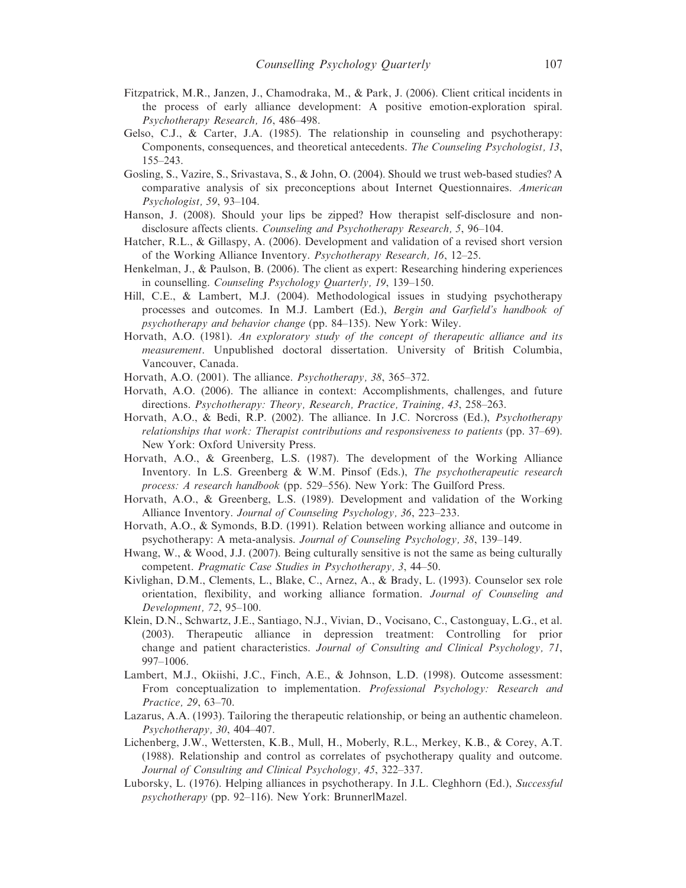- Fitzpatrick, M.R., Janzen, J., Chamodraka, M., & Park, J. (2006). Client critical incidents in the process of early alliance development: A positive emotion-exploration spiral. Psychotherapy Research, 16, 486–498.
- Gelso, C.J., & Carter, J.A. (1985). The relationship in counseling and psychotherapy: Components, consequences, and theoretical antecedents. The Counseling Psychologist, 13, 155–243.
- Gosling, S., Vazire, S., Srivastava, S., & John, O. (2004). Should we trust web-based studies? A comparative analysis of six preconceptions about Internet Questionnaires. American Psychologist, 59, 93–104.
- Hanson, J. (2008). Should your lips be zipped? How therapist self-disclosure and nondisclosure affects clients. Counseling and Psychotherapy Research, 5, 96–104.
- Hatcher, R.L., & Gillaspy, A. (2006). Development and validation of a revised short version of the Working Alliance Inventory. Psychotherapy Research, 16, 12–25.
- Henkelman, J., & Paulson, B. (2006). The client as expert: Researching hindering experiences in counselling. Counseling Psychology Quarterly, 19, 139–150.
- Hill, C.E., & Lambert, M.J. (2004). Methodological issues in studying psychotherapy processes and outcomes. In M.J. Lambert (Ed.), Bergin and Garfield's handbook of psychotherapy and behavior change (pp. 84–135). New York: Wiley.
- Horvath, A.O. (1981). An exploratory study of the concept of therapeutic alliance and its measurement. Unpublished doctoral dissertation. University of British Columbia, Vancouver, Canada.
- Horvath, A.O. (2001). The alliance. Psychotherapy, 38, 365–372.
- Horvath, A.O. (2006). The alliance in context: Accomplishments, challenges, and future directions. Psychotherapy: Theory, Research, Practice, Training, 43, 258–263.
- Horvath, A.O., & Bedi, R.P. (2002). The alliance. In J.C. Norcross (Ed.), Psychotherapy relationships that work: Therapist contributions and responsiveness to patients (pp. 37–69). New York: Oxford University Press.
- Horvath, A.O., & Greenberg, L.S. (1987). The development of the Working Alliance Inventory. In L.S. Greenberg & W.M. Pinsof (Eds.), The psychotherapeutic research process: A research handbook (pp. 529–556). New York: The Guilford Press.
- Horvath, A.O., & Greenberg, L.S. (1989). Development and validation of the Working Alliance Inventory. Journal of Counseling Psychology, 36, 223–233.
- Horvath, A.O., & Symonds, B.D. (1991). Relation between working alliance and outcome in psychotherapy: A meta-analysis. Journal of Counseling Psychology, 38, 139–149.
- Hwang, W., & Wood, J.J. (2007). Being culturally sensitive is not the same as being culturally competent. Pragmatic Case Studies in Psychotherapy, 3, 44–50.
- Kivlighan, D.M., Clements, L., Blake, C., Arnez, A., & Brady, L. (1993). Counselor sex role orientation, flexibility, and working alliance formation. Journal of Counseling and Development, 72, 95–100.
- Klein, D.N., Schwartz, J.E., Santiago, N.J., Vivian, D., Vocisano, C., Castonguay, L.G., et al. (2003). Therapeutic alliance in depression treatment: Controlling for prior change and patient characteristics. Journal of Consulting and Clinical Psychology, 71, 997–1006.
- Lambert, M.J., Okiishi, J.C., Finch, A.E., & Johnson, L.D. (1998). Outcome assessment: From conceptualization to implementation. Professional Psychology: Research and Practice, 29, 63–70.
- Lazarus, A.A. (1993). Tailoring the therapeutic relationship, or being an authentic chameleon. Psychotherapy, 30, 404–407.
- Lichenberg, J.W., Wettersten, K.B., Mull, H., Moberly, R.L., Merkey, K.B., & Corey, A.T. (1988). Relationship and control as correlates of psychotherapy quality and outcome. Journal of Consulting and Clinical Psychology, 45, 322–337.
- Luborsky, L. (1976). Helping alliances in psychotherapy. In J.L. Cleghhorn (Ed.), Successful psychotherapy (pp. 92–116). New York: BrunnerlMazel.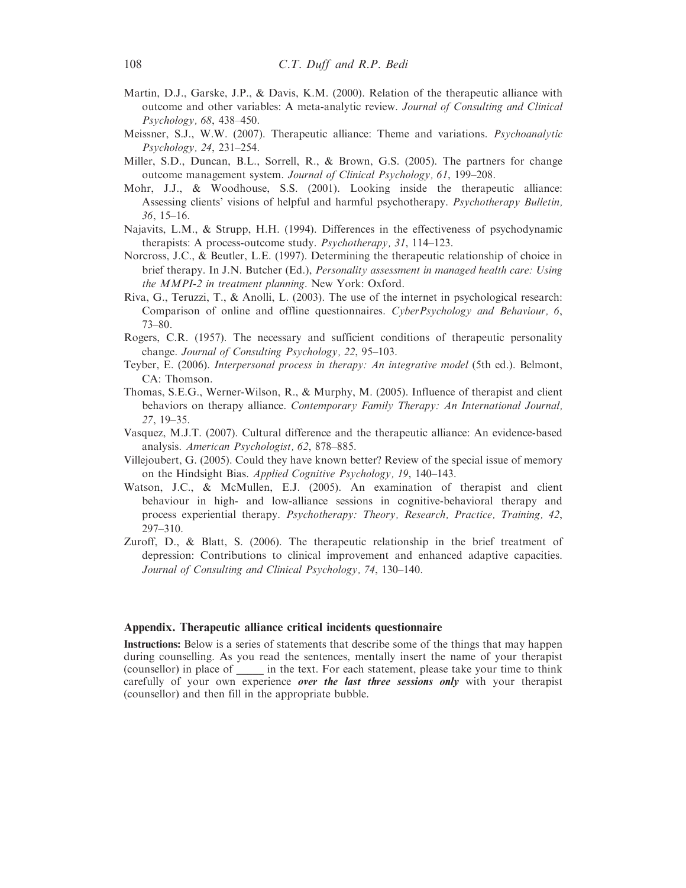- Martin, D.J., Garske, J.P., & Davis, K.M. (2000). Relation of the therapeutic alliance with outcome and other variables: A meta-analytic review. Journal of Consulting and Clinical Psychology, 68, 438–450.
- Meissner, S.J., W.W. (2007). Therapeutic alliance: Theme and variations. Psychoanalytic Psychology, 24, 231–254.
- Miller, S.D., Duncan, B.L., Sorrell, R., & Brown, G.S. (2005). The partners for change outcome management system. Journal of Clinical Psychology, 61, 199–208.
- Mohr, J.J., & Woodhouse, S.S. (2001). Looking inside the therapeutic alliance: Assessing clients' visions of helpful and harmful psychotherapy. Psychotherapy Bulletin, 36, 15–16.
- Najavits, L.M., & Strupp, H.H. (1994). Differences in the effectiveness of psychodynamic therapists: A process-outcome study. Psychotherapy, 31, 114–123.
- Norcross, J.C., & Beutler, L.E. (1997). Determining the therapeutic relationship of choice in brief therapy. In J.N. Butcher (Ed.), Personality assessment in managed health care: Using the MMPI-2 in treatment planning. New York: Oxford.
- Riva, G., Teruzzi, T., & Anolli, L. (2003). The use of the internet in psychological research: Comparison of online and offline questionnaires. CyberPsychology and Behaviour, 6, 73–80.
- Rogers, C.R. (1957). The necessary and sufficient conditions of therapeutic personality change. Journal of Consulting Psychology, 22, 95–103.
- Teyber, E. (2006). Interpersonal process in therapy: An integrative model (5th ed.). Belmont, CA: Thomson.
- Thomas, S.E.G., Werner-Wilson, R., & Murphy, M. (2005). Influence of therapist and client behaviors on therapy alliance. Contemporary Family Therapy: An International Journal, 27, 19–35.
- Vasquez, M.J.T. (2007). Cultural difference and the therapeutic alliance: An evidence-based analysis. American Psychologist, 62, 878–885.
- Villejoubert, G. (2005). Could they have known better? Review of the special issue of memory on the Hindsight Bias. Applied Cognitive Psychology, 19, 140–143.
- Watson, J.C., & McMullen, E.J. (2005). An examination of therapist and client behaviour in high- and low-alliance sessions in cognitive-behavioral therapy and process experiential therapy. Psychotherapy: Theory, Research, Practice, Training, 42, 297–310.
- Zuroff, D., & Blatt, S. (2006). The therapeutic relationship in the brief treatment of depression: Contributions to clinical improvement and enhanced adaptive capacities. Journal of Consulting and Clinical Psychology, 74, 130–140.

#### Appendix. Therapeutic alliance critical incidents questionnaire

Instructions: Below is a series of statements that describe some of the things that may happen during counselling. As you read the sentences, mentally insert the name of your therapist (counsellor) in place of \_\_\_\_\_ in the text. For each statement, please take your time to think carefully of your own experience over the last three sessions only with your therapist (counsellor) and then fill in the appropriate bubble.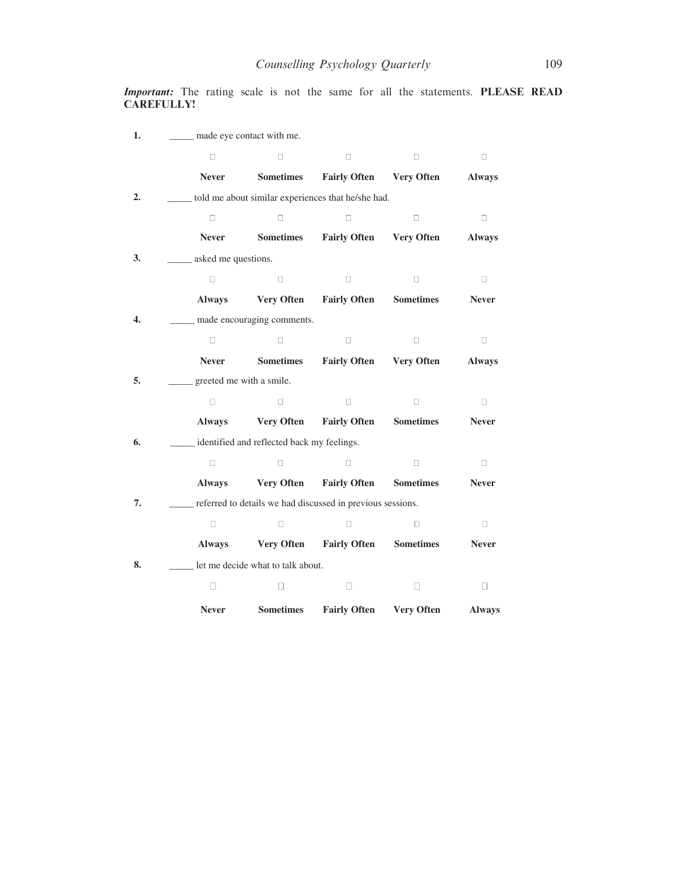Important: The rating scale is not the same for all the statements. PLEASE READ CAREFULLY!

| 1. | ____ made eye contact with me. |                                            |                                                            |                   |               |
|----|--------------------------------|--------------------------------------------|------------------------------------------------------------|-------------------|---------------|
|    | $\Box$                         | п                                          | $\Box$                                                     | $\Box$            | $\Box$        |
|    | <b>Never</b>                   | <b>Sometimes</b>                           | <b>Fairly Often</b>                                        | <b>Very Often</b> | <b>Always</b> |
| 2. |                                |                                            | told me about similar experiences that he/she had.         |                   |               |
|    | $\Box$                         | $\Box$                                     | $\Box$                                                     | $\Box$            | $\Box$        |
|    | <b>Never</b>                   | <b>Sometimes</b>                           | <b>Fairly Often</b>                                        | <b>Very Often</b> | <b>Always</b> |
| 3. | ___ asked me questions.        |                                            |                                                            |                   |               |
|    | $\Box$                         | $\Box$                                     | $\Box$                                                     | $\Box$            | $\Box$        |
|    | <b>Always</b>                  | <b>Very Often</b>                          | <b>Fairly Often</b>                                        | <b>Sometimes</b>  | <b>Never</b>  |
| 4. |                                | __ made encouraging comments.              |                                                            |                   |               |
|    | $\Box$                         | $\Box$                                     | $\Box$                                                     | $\Box$            | $\Box$        |
|    | <b>Never</b>                   | <b>Sometimes</b>                           | <b>Fairly Often</b>                                        | <b>Very Often</b> | <b>Always</b> |
| 5. | greeted me with a smile.       |                                            |                                                            |                   |               |
|    | $\Box$                         | $\Box$                                     | $\Box$                                                     | $\Box$            | $\Box$        |
|    | <b>Always</b>                  | <b>Very Often</b>                          | <b>Fairly Often</b>                                        | <b>Sometimes</b>  | <b>Never</b>  |
| 6. |                                | identified and reflected back my feelings. |                                                            |                   |               |
|    | $\Box$                         | $\Box$                                     | $\Box$                                                     | $\Box$            | $\Box$        |
|    | <b>Always</b>                  | <b>Very Often</b>                          | <b>Fairly Often</b>                                        | <b>Sometimes</b>  | <b>Never</b>  |
| 7. |                                |                                            | referred to details we had discussed in previous sessions. |                   |               |
|    | $\Box$                         | $\Box$                                     | П                                                          | $\Box$            | 0             |
|    | <b>Always</b>                  | <b>Very Often</b>                          | <b>Fairly Often</b>                                        | <b>Sometimes</b>  | <b>Never</b>  |
| 8. |                                | let me decide what to talk about.          |                                                            |                   |               |
|    | П                              | П                                          | П                                                          | П                 | □             |
|    | <b>Never</b>                   | <b>Sometimes</b>                           | <b>Fairly Often</b>                                        | <b>Very Often</b> | <b>Always</b> |